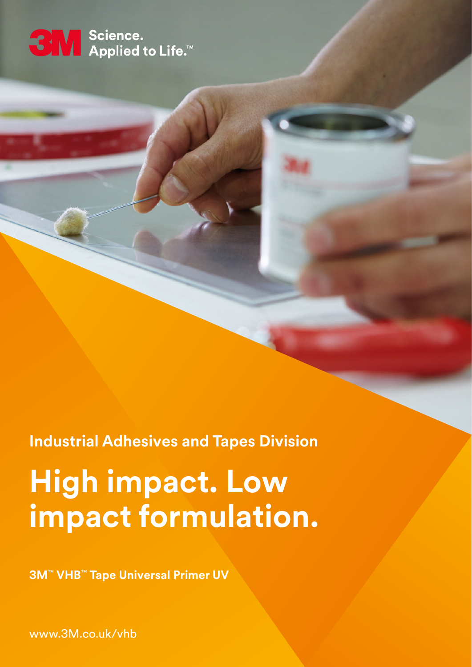# SN Science.<br>SN Applied to Life.™

**Industrial Adhesives and Tapes Division**

## **High impact. Low impact formulation.**

**3M**™ **VHB**™ **Tape Universal Primer UV**

www.3M.co.uk/vhb